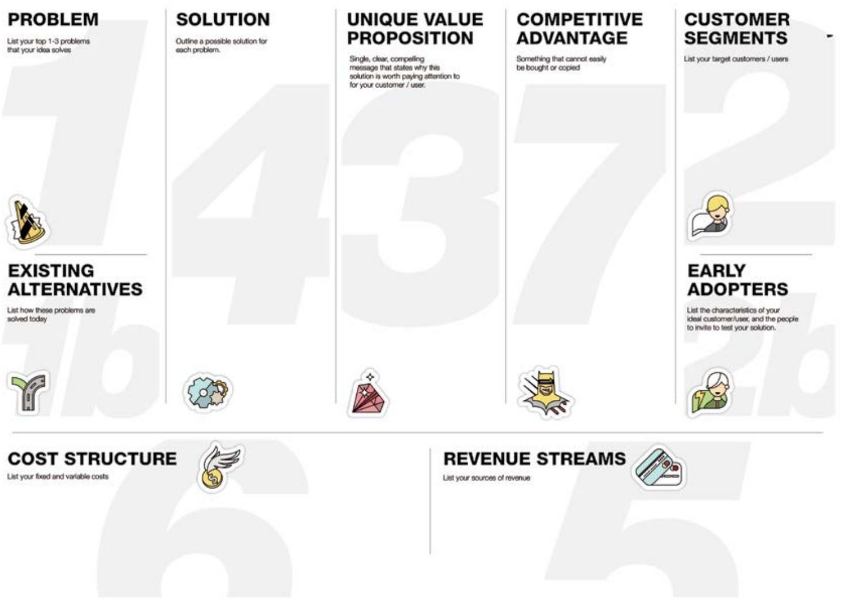### **PROBLEM**

List your top 1-3 problems that your idea solves



### **EXISTING ALTERNATIVES**

List how these problems are solved today





### **COST STRUCTURE** List your food and variable costs



**SOLUTION** 

Outline a possible solution for

each problem.

### **UNIQUE VALUE PROPOSITION**

Single, clear, compelling message that states why this solution is worth paying attention to for your customer / user.

### **COMPETITIVE ADVANTAGE**

Something that cannot easily be bought or copied

### **CUSTOMER SEGMENTS**

List your target customers / users



### **EARLY ADOPTERS**

List the characteristics of your ideal customer/user, and the people to invite to test your solution.



List your sources of revenue

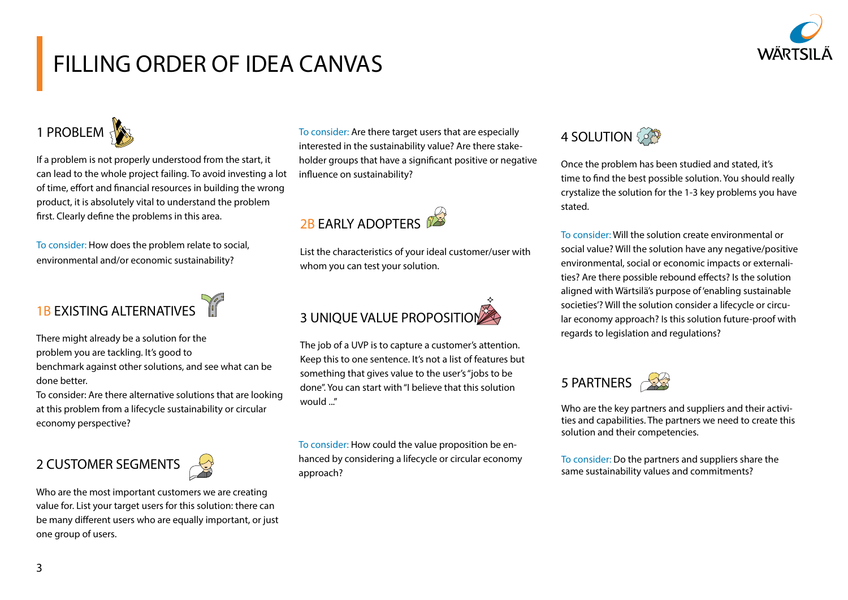

## FILLING ORDER OF IDEA CANVAS



If a problem is not properly understood from the start, it can lead to the whole project failing. To avoid investing a lot of time, effort and financial resources in building the wrong product, it is absolutely vital to understand the problem first. Clearly define the problems in this area.

To consider: How does the problem relate to social, environmental and/or economic sustainability?

## 1B EXISTING ALTERNATIVES

There might already be a solution for the problem you are tackling. It's good to benchmark against other solutions, and see what can be done better.

To consider: Are there alternative solutions that are looking at this problem from a lifecycle sustainability or circular economy perspective?

### 2 CUSTOMER SEGMENTS

Who are the most important customers we are creating value for. List your target users for this solution: there can be many different users who are equally important, or just one group of users.

To consider: Are there target users that are especially interested in the sustainability value? Are there stakeholder groups that have a significant positive or negative influence on sustainability?



List the characteristics of your ideal customer/user with whom you can test your solution.



The job of a UVP is to capture a customer's attention. Keep this to one sentence. It's not a list of features but something that gives value to the user's "jobs to be done". You can start with "I believe that this solution would "

To consider: How could the value proposition be enhanced by considering a lifecycle or circular economy approach?



Once the problem has been studied and stated, it's time to find the best possible solution. You should really crystalize the solution for the 1-3 key problems you have stated.

To consider: Will the solution create environmental or social value? Will the solution have any negative/positive environmental, social or economic impacts or externalities? Are there possible rebound effects? Is the solution aligned with Wärtsilä's purpose of 'enabling sustainable societies'? Will the solution consider a lifecycle or circular economy approach? Is this solution future-proof with regards to legislation and regulations?



Who are the key partners and suppliers and their activities and capabilities. The partners we need to create this solution and their competencies.

To consider: Do the partners and suppliers share the same sustainability values and commitments?